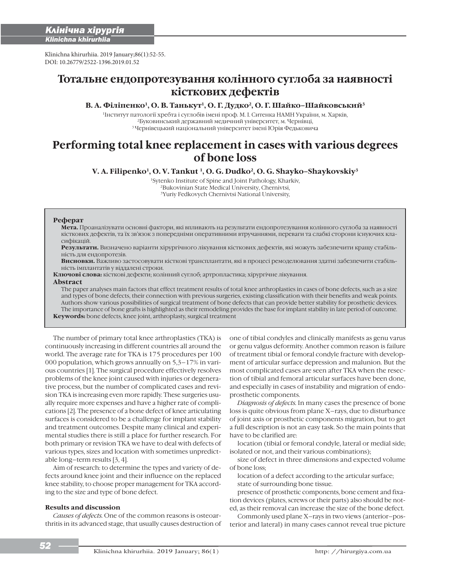i

Klinichna khirurhiia. 2019 January;86(1):52-55. DOI: 10.26779/2522-1396.2019.01.52

# **Тотальне ендопротезування колінного суглоба за наявності кісткових дефектів**

# В. А. Філіпенко<sup>1</sup>, О. В. Танькут<sup>1</sup>, О. Г. Дудко<sup>2</sup>, О. Г. Шайко-Шайковський<sup>3</sup>

1Інститут патології хребта і суглобів імені проф. М. І. Ситенка НАМН України, м. Харків, 2Буковинський державний медичний університет, м. Чернівці, 3 Чернівецький національний університет імені Юрія Федьковича

# **Performing total knee replacement in cases with various degrees of bone loss**

**V. A. Filipenko1, O. V. Tankut 1, O. G. Dudko2, O. G. Shayko–Shaykovskiy3**

1Sytenko Institute of Spine and Joint Pathology, Kharkiv, 2Bukovinian State Mediсal University, Chernivtsi, 3Yuriy Fedkovych Chernivtsi National University,

### **Реферат**

**Мета.** Проаналізувати основні фактори, які впливають на результати ендопротезування колінного суглоба за наявності кісткових дефектів, та їх зв'язок з попередніми оперативними втручаннями, переваги та слабкі сторони існуючих класифікацій.

**Результати.** Визначено варіанти хірургічного лікування кісткових дефектів, які можуть забезпечити кращу стабільність для ендопротезів.

**Висновки.** Важливо застосовувати кісткові трансплантати, які в процесі ремоделювання здатні забезпечити стабільність імплантатів у віддалені строки.

**Ключові слова:** кісткові дефекти; колінний суглоб; артропластика; хірургічне лікування.

#### **Abstract**

The paper analyses main factors that effect treatment results of total knee arthroplasties in cases of bone defects, such as a size and types of bone defects, their connection with previous surgeries, existing classification with their benefits and weak points. Authors show various possibilities of surgical treatment of bone defects that can provide better stability for prosthetic devices. The importance of bone grafts is highlighted as their remodeling provides the base for implant stability in late period of outcome. **Keywords:** bone defects, knee joint, arthroplasty, surgical treatment

The number of primary total knee arthroplasties (TKA) is continuously increasing in different countries all around the world. The average rate for TKA is 175 procedures per 100 000 population, which grows annually on 5,3–17% in various countries [1]. The surgical procedure effectively resolves problems of the knee joint caused with injuries or degenerative process, but the number of complicated cases and revision TKA is increasing even more rapidly. These surgeries usually require more expenses and have a higher rate of complications [2]. The presence of a bone defect of knee articulating surfaces is considered to be a challenge for implant stability and treatment outcomes. Despite many clinical and experimental studies there is still a place for further research. For both primary or revision TKA we have to deal with defects of various types, sizes and location with sometimes unpredictable long–term results [3, 4].

Aim of research: to determine the types and variety of defects around knee joint and their influence on the replaced knee stability, to choose proper management for TKA according to the size and type of bone defect.

### **Results and discussion**

*Causes of defects.* One of the common reasons is osteoarthritis in its advanced stage, that usually causes destruction of one of tibial condyles and clinically manifests as genu varus or genu valgus deformity. Another common reason is failure of treatment tibial or femoral condyle fracture with development of articular surface depression and malunion. But the most complicated cases are seen after TKA when the resection of tibial and femoral articular surfaces have been done, and especially in cases of instability and migration of endoprosthetic components.

*Diagnosis of defects.* In many cases the presence of bone loss is quite obvious from plane X–rays, due to disturbance of joint axis or prosthetic components migration, but to get a full description is not an easy task. So the main points that have to be clarified are:

location (tibial or femoral condyle, lateral or medial side; isolated or not, and their various combinations);

size of defect in three dimensions and expected volume of bone loss;

location of a defect according to the articular surface; state of surrounding bone tissue.

presence of prosthetic components, bone cement and fixation devices (plates, screws or their parts) also should be noted, as their removal can increase the size of the bone defect.

Commonly used plane X–rays in two views (anterior–posterior and lateral) in many cases cannot reveal true picture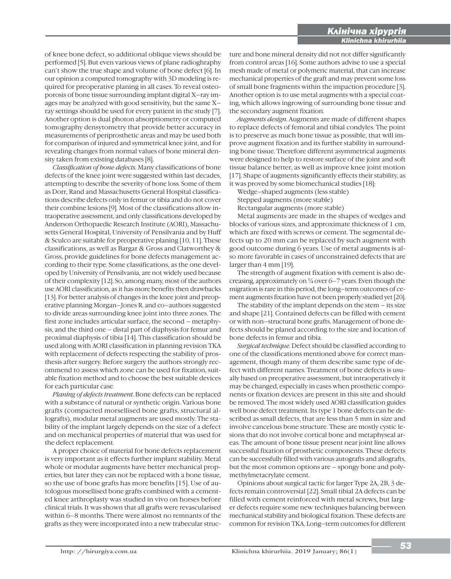of knee bone defect, so additional oblique views should be performed [5]. But even various views of plane radioghraphy can`t show the true shape and volume of bone defect [6]. In our opinion a computed tomography with 3D modeling is required for preoperative planing in all cases. To reveal osteoporosis of bone tissue surrounding implant digital X–ray images may be analyzed with good sensitivity, but the same X– ray settings should be used for every patient in the study [7]. Another option is dual photon absorptiometry or computed tomography densytometry that provide better accuracy in measurements of periprosthetic areas and may be used both for comparison of injured and symmetrical knee joint, and for revealing changes from normal values of bone mineral density taken from existing databases [8].

*Classification of bone defects.* Many classifications of bone defects of the knee joint were suggested within last decades, attempting to describe the severity of bone loss. Some of them as Dorr, Rand and Massachusetts General Hospital classifications describe defects only in femur or tibia and do not cover their combine lesions [9]. Most of the classifications allow intraoperative assessment, and only classifications developed by Anderson Orthopaedic Research Institute (AORI), Massachusetts General Hospital, University of Pensilvania and by Huff & Sculco are suitable for preoperative planing [10, 11]. These classifications, as well as Bargar & Gross and Clatworthey & Gross, provide guidelines for bone defects management according to their type. Some classifications, as the one developed by University of Pensilvania, are not widely used because of their complexity [12]. So, among many, most of the authors use AORI classification, as it has more benefits then drawbacks [13]. For better analysis of changes in the knee joint and preoperative planning Morgan–Jones R. and co–authors suggested to divide areas surrounding knee joint into three zones. The first zone includes articular surface, the second – metaphysis, and the third one – distal part of diaphysis for femur and proximal diaphysis of tibia [14]. This classification should be used along with AORI classification in planning revision TKA with replacement of defects respecting the stability of prosthesis after surgery. Before surgery the authors strongly recommend to assess which zone can be used for fixation, suitable fixation method and to choose the best suitable devices for each particular case.

*Planing of defects treatment.* Bone defects can be replaced with a substance of natural or synthetic origin. Various bone grafts (compacted morsellised bone grafts, structural allografts), modular metal augments are used mostly. The stability of the implant largely depends on the size of a defect and on mechanical properties of material that was used for the defect replacement.

A proper choice of material for bone defects replacement is very important as it effects further implant stability. Metal whole or modular augments have better mechanical properties, but later they can not be replaced with a bone tissue, so the use of bone grafts has more benefits [15]. Use of autologous morsellised bone grafts combined with a cemented knee arthroplasty was studied in vivo on horses before clinical trials. It was shown that all grafts were revascularised within 6–8 months. There were almost no remnants of the grafts as they were incorporated into a new trabecular structure and bone mineral density did not not differ significantly from control areas [16]. Some authors advise to use a special mesh made of metal or polymeric material, that can increase mechanical properties of the graft and may prevent some loss of small bone fragments within the impaction procedure [3]. Another option is to use metal augments with a special coating, which allows ingrowing of surrounding bone tissue and the secondary augment fixation.

i

*Augments design.* Augments are made of different shapes to replace defects of femoral and tibial condyles. The point is to preserve as much bone tissue as possible, that will improve augment fixation and its further stability in surrounding bone tissue. Therefore different asymmetrical augments were designed to help to restore surface of the joint and soft tissue balance better, as well as improve knee joint motion [17]. Shape of augments significantly effects their stability, as it was proved by some biomechanical studies [18]:

Wedge–shaped augments (less stable) Stepped augments (more stable)

Rectangular augments (more stable)

Metal augments are made in the shapes of wedges and blocks of various sizes, and approximate thickness of 1 cm, which are fixed with screws or cement. The segmental defects up to 20 mm can be replaced by such augment with good outcome during 6 years. Use of metal augments is also more favorable in cases of unconstrained defects that are larger than 4 mm [19].

The strength of augment fixation with cement is also decreasing, approximately on  $\frac{1}{4}$  over 6–7 years. Even though the migration is rare in this period, the long–term outcomes of cement augments fixation have not been properly studied yet [20].

The stability of the implant depends on the stem – its size and shape [21]. Contained defects can be filled with cement or with non–structural bone grafts. Management of bone defects should be planed according to the size and location of bone defects in femur and tibia.

*Surgical technique.* Defect should be classified according to one of the classifications mentioned above for correct management, though many of them describe same type of defect with different names. Treatment of bone defects is usually based on preoperative assessment, but intraoperatively it may be changed, especially in cases when prosthetic components or fixation devices are present in this site and should be removed. The most widely used AORI classification guides well bone defect treatment. Its type 1 bone defects can be described as small defects, that are less than 5 mm in size and involve cancelous bone structure. These are mostly cystic lesions that do not involve cortical bone and metaphyseal areas. The amount of bone tissue present near joint line allows successful fixation of prosthetic components. These defects can be successfully filled with various autografts and allografts, but the most common options are – spongy bone and polymethylmetacrylate cement.

Opinions about surgical tactic for larger Type 2A, 2B, 3 defects remain controversial [22]. Small tibial 2A defects can be filled with cement reinforced with metal screws, but larger defects require some new techniques balancing between mechanical stability and biological fixation. These defects are common for revision TKA. Long–term outcomes for different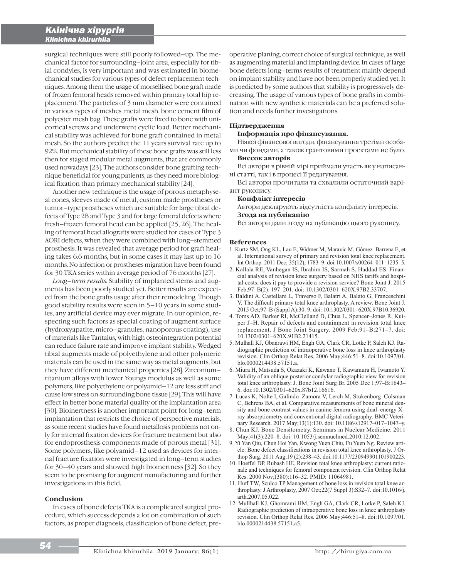i

surgical techniques were still poorly followed–up. The mechanical factor for surrounding–joint area, especially for tibial condyles, is very important and was estimated in biomechanical studies for various types of defect replacement techniques. Among them the usage of morsellised bone graft made of frozen femoral heads removed within primary total hip replacement. The particles of 3 mm diameter were contained in various types of meshes: metal mesh, bone cement film of polyester mesh bag. These grafts were fixed to bone with unicortical screws and underwent cyclic load. Better mechanical stability was achieved for bone graft contained in metal mesh. So the authors predict the 11 years survival rate up to 92%. But mechanical stability of these bone grafts was still less then for staged modular metal augments, that are commonly used nowadays [23]. The authors consider bone grafting technique beneficial for young patients, as they need more biological fixation than primary mechanical stability [24].

Another new technique is the usage of porous metaphyseal cones, sleeves made of metal, custom made prostheses or tumor–type prostheses which are suitable for large tibial defects of Type 2B and Type 3 and for large femoral defects where fresh–frozen femoral head can be applied [25, 26]. The healing of femoral head allografts were studied for cases of Type 3 AORI defects, when they were combined with long–stemmed prosthesis. It was revealed that average period for graft healing takes 6.6 months, but in some cases it may last up to 16 months. No infection or prostheses migration have been found for 30 TKA series within average period of 76 months [27].

*Long–term results.* Stability of implanted stems and augments has been poorly studied yet. Better results are expected from the bone grafts usage after their remodeling. Though good stability results were seen in 5–10 years in some studies, any artificial device may ever migrate. In our opinion, respecting such factors as special coating of augment surface (hydroxyapatite, micro–granules, nanoporous coating), use of materials like Tantalus, with high osteointegration potential can reduce failure rate and improve implant stability. Wedged tibial augments made of polyethylene and other polymeric materials can be used in the same way as metal augments, but they have different mechanical properties [28]. Zirconium– titanium alloys with lower Youngs modulus as well as some polymers, like polyethylene or polyamid–12 are less stiff and cause low stress on surrounding bone tissue [29]. This will have effect in better bone material quality of the implantation area [30]. Bioinertness is another important point for long–term implantation that restricts the choice of perspective materials, as some recent studies have found metallosis problems not only for internal fixation devices for fracture treatment but also for endoprosthesis components made of porous metal [31]. Some polymers, like polyamid–12 used as devices for internal fracture fixation were investigated in long–term studies for 30–40 years and showed high bioinertness [32]. So they seem to be promising for augment manufacturing and further investigations in this field.

### **Conclusion**

In cases of bone defects TKA is a complicated surgical procedure, which success depends a lot on combination of such factors, as proper diagnosis, classification of bone defect, pre-

operative planing, correct choice of surgical technique, as well as augmenting material and implanting device. In cases of large bone defects long–terms results of treatment mainly depend on implant stability and have not been properly studied yet. It is predicted by some authors that stability is progressively decreasing. The usage of various types of bone grafts in combination with new synthetic materials can be a preferred solution and needs further investigations.

## **Підтвердження**

### **Інформація про фінансування.**

Ніякої фінансової вигоди, фінансування третіми особами чи фондами, а також грантовими проектами не було.

#### **Внесок авторів**

Всі автори в рівній мірі приймали участь як у написанні статті, так і в процесі її редагування.

Всі автори прочитали та схвалили остаточний варіант рукопису.

#### **Конфлікт інтересів**

Автори декларують відсутність конфлікту інтересів. **Згода на публікацію**

Всі автори дали згоду на публікацію цього рукопису.

### **References**

- 1. Kurtz SM, Ong KL, Lau E, Widmer M, Maravic M, Gómez-Barrena E, et al. International survey of primary and revision total knee replacement. Int Orthop. 2011 Dec; 35(12), 1783-9. doi:10.1007/s00264-011-1235-5.
- 2. Kallala RE, Vanhegan IS, Ibrahim IS, Sarmah S, Haddad ES. Financial analysis of revision knee surgery based on NHS tariffs and hospital costs: does it pay to provide a revision service? Bone Joint J. 2015 Feb;97-B(2): 197-201. doi: 10.1302/0301-620X.97B2.33707.
- 3. Baldini A, Castellani L, Traverso F, Balatri A, Balato G, Franceschini V. The difficult primary total knee arthroplasty. A review. Bone Joint J. 2015 Oct;97-B (Suppl A):30-9. doi: 10.1302/0301-620X.97B10.36920.
- 4. Toms AD, Barker RI, McClelland D, Chua L, Spencer-Jones R, Kuiper J-H. Repair of defects and containment in revision total knee replacement. J Bone Joint Surgery. 2009 Feb;91-B:271-7. doi: 10.1302/0301-620X.91B2.21415.
- 5. Mulhall KJ, Gbanrawi HM, Engh GA, Clark CR, Lotke P, Saleh KJ. Radiographic prediction of intraoperative bone loss in knee arthroplasty revision. Clin Orthop Relat Res. 2006 May; 446:51-8. doi:10.1097/01. blo.0000214438.57151.a.
- 6. Miura H, Matsuda S, Okazaki K, Kawano T, Kawamura H, Iwamoto Y. Validity of an oblique posterior condylar radiographic view for revision total knee arthroplasty. J. Bone Joint Surg Br. 2005 Dec 1;97-B:1643-6. doi:10.1302/0301-620x.87b12.16616.
- 7. Lucas K, Nolte I, Galindo-Zamora V, Lerch M, Stukenborg-Colsman C, Behrens BA, et al. Comparative measurements of bone mineral density and bone contrast values in canine femora using dual-energy  $X$ ray absorptiometry and conventional digital radiography. BMC Veterinary Research. 2017 May;13(1):130. doi: 10.1186/s12917-017-1047-y.
- 8. Chun KJ. Bone Densitometry. Seminars in Nuclear Medicine. 2011 May;41(3):220-8. doi: 10.1053/j.semnuclmed.2010.12.002.
- 9. Yi Yan Qiu, Chun Hoi Yan, Kwong Yuen Chiu, Fu Yuen Ng. Review article: Bone defect classifications in revision total knee arthroplasty. J Orthop Surg. 2011 Aug;19 (2):238-43. doi:10.1177/230949901101900223.
- 10. Hoeffel DP, Rubash HE. Revision total knee arthroplasty: current rationale and techniques for femoral component revision. Clin Orthop Relat Res. 2000 Nov;(380):116-32. PMID: 11064981.
- 11. Huff TW, Sculco TP Management of bone loss in revision total knee arthroplasty. J Arthroplasty, 2007 Oct;22(7 Suppl 3):S32-7. doi:10.1016/j. arth.2007.05.022.
- 12. Mullhall KJ, Ghomrami HM, Engh GA, Clark CR, Lotke P, Saleh KJ. Radiographic prediction of intraoperative bone loss in knee arthroplasty revision. Clin Orthop Relat Res. 2006 May; 446:51-8. doi:10.1097/01. blo.0000214438.57151.a5.